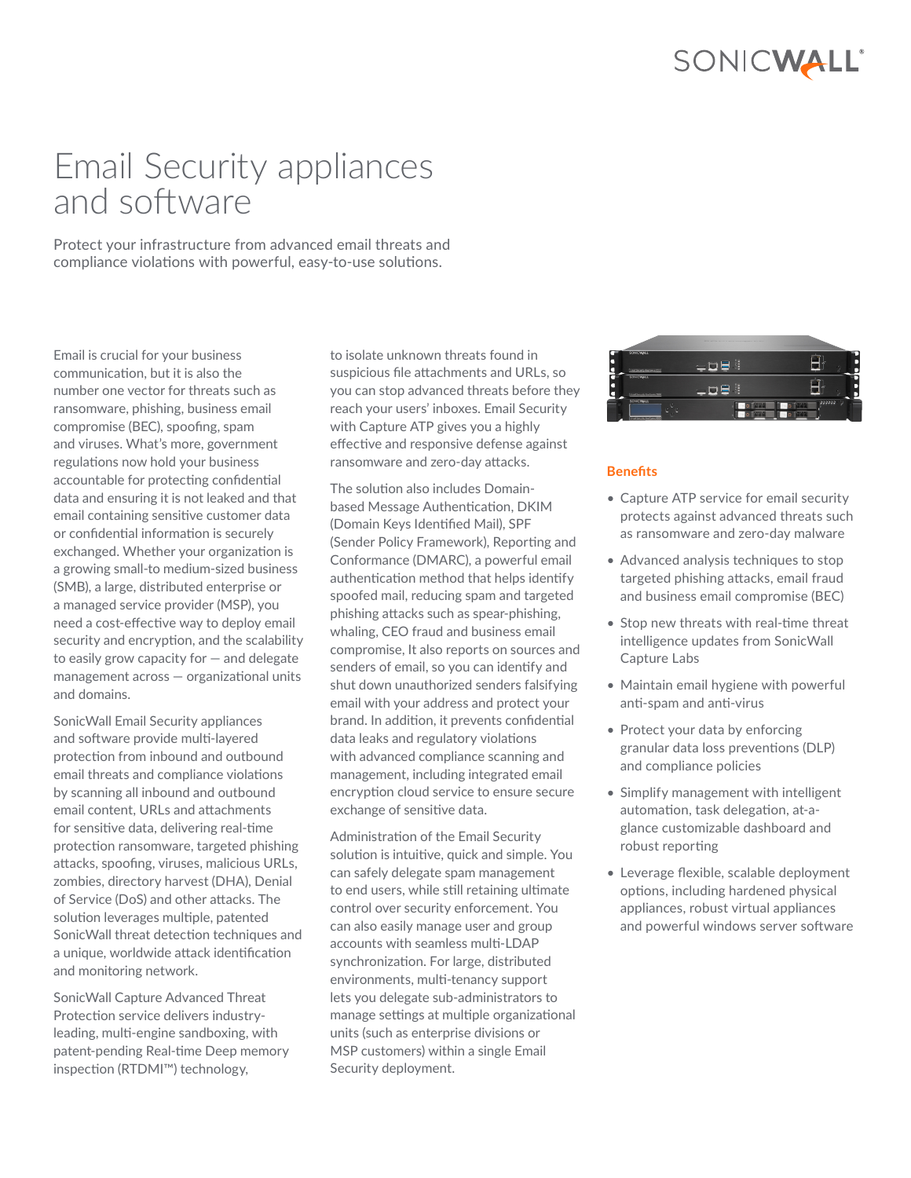## SONICWALL®

# Email Security appliances and software

Protect your infrastructure from advanced email threats and compliance violations with powerful, easy-to-use solutions.

Email is crucial for your business communication, but it is also the number one vector for threats such as ransomware, phishing, business email compromise (BEC), spoofing, spam and viruses. What's more, government regulations now hold your business accountable for protecting confidential data and ensuring it is not leaked and that email containing sensitive customer data or confidential information is securely exchanged. Whether your organization is a growing small-to medium-sized business (SMB), a large, distributed enterprise or a managed service provider (MSP), you need a cost-effective way to deploy email security and encryption, and the scalability to easily grow capacity for — and delegate management across — organizational units and domains.

SonicWall Email Security appliances and software provide multi-layered protection from inbound and outbound email threats and compliance violations by scanning all inbound and outbound email content, URLs and attachments for sensitive data, delivering real-time protection ransomware, targeted phishing attacks, spoofing, viruses, malicious URLs, zombies, directory harvest (DHA), Denial of Service (DoS) and other attacks. The solution leverages multiple, patented SonicWall threat detection techniques and a unique, worldwide attack identification and monitoring network.

SonicWall Capture Advanced Threat Protection service delivers industryleading, multi-engine sandboxing, with patent-pending Real-time Deep memory inspection (RTDMI™) technology,

to isolate unknown threats found in suspicious file attachments and URLs, so you can stop advanced threats before they reach your users' inboxes. Email Security with Capture ATP gives you a highly effective and responsive defense against ransomware and zero-day attacks.

The solution also includes Domainbased Message Authentication, DKIM (Domain Keys Identified Mail), SPF (Sender Policy Framework), Reporting and Conformance (DMARC), a powerful email authentication method that helps identify spoofed mail, reducing spam and targeted phishing attacks such as spear-phishing, whaling, CEO fraud and business email compromise, It also reports on sources and senders of email, so you can identify and shut down unauthorized senders falsifying email with your address and protect your brand. In addition, it prevents confidential data leaks and regulatory violations with advanced compliance scanning and management, including integrated email encryption cloud service to ensure secure exchange of sensitive data.

Administration of the Email Security solution is intuitive, quick and simple. You can safely delegate spam management to end users, while still retaining ultimate control over security enforcement. You can also easily manage user and group accounts with seamless multi-LDAP synchronization. For large, distributed environments, multi-tenancy support lets you delegate sub-administrators to manage settings at multiple organizational units (such as enterprise divisions or MSP customers) within a single Email Security deployment.



## **Benefits**

- Capture ATP service for email security protects against advanced threats such as ransomware and zero-day malware
- Advanced analysis techniques to stop targeted phishing attacks, email fraud and business email compromise (BEC)
- Stop new threats with real-time threat intelligence updates from SonicWall Capture Labs
- Maintain email hygiene with powerful anti-spam and anti-virus
- Protect your data by enforcing granular data loss preventions (DLP) and compliance policies
- Simplify management with intelligent automation, task delegation, at-aglance customizable dashboard and robust reporting
- Leverage flexible, scalable deployment options, including hardened physical appliances, robust virtual appliances and powerful windows server software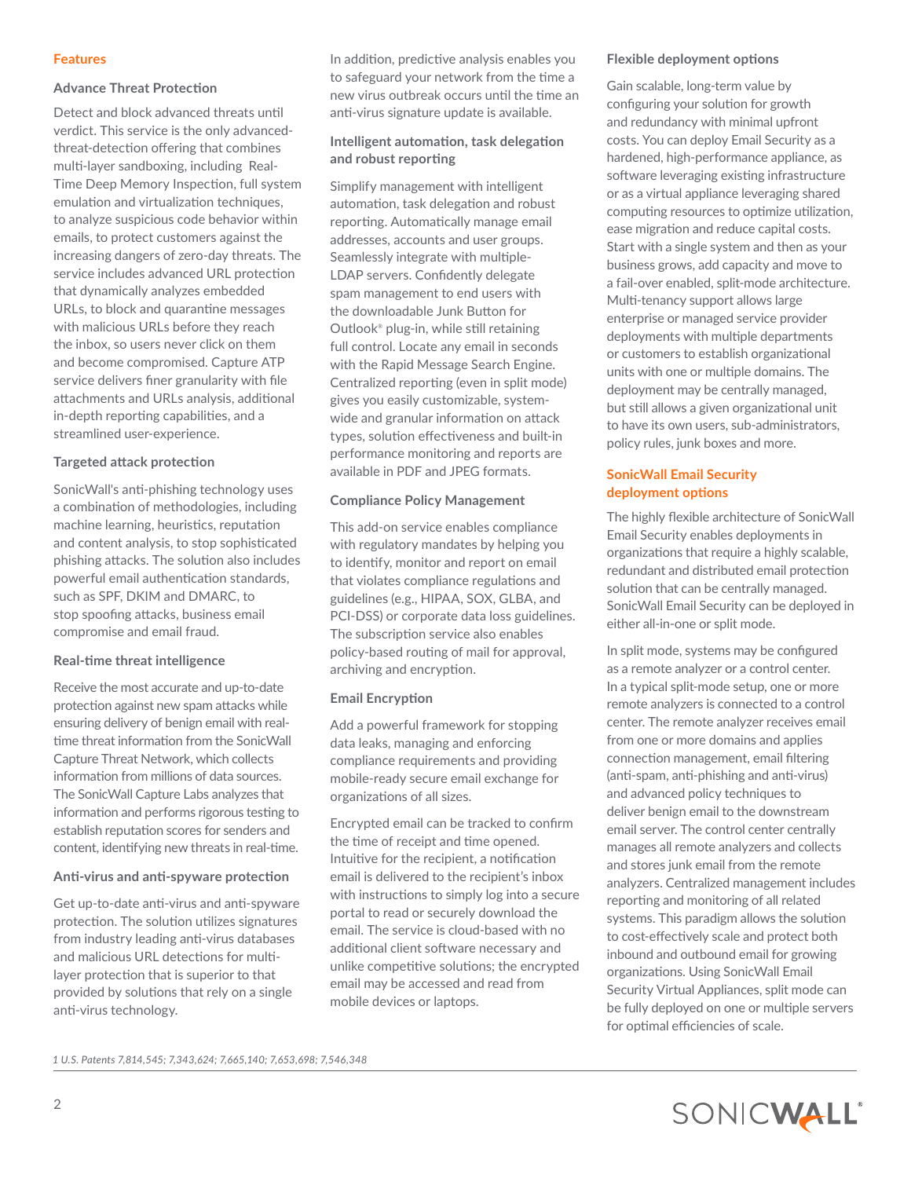#### **Features**

#### **Advance Threat Protection**

Detect and block advanced threats until verdict. This service is the only advancedthreat-detection offering that combines multi-layer sandboxing, including Real-Time Deep Memory Inspection, full system emulation and virtualization techniques, to analyze suspicious code behavior within emails, to protect customers against the increasing dangers of zero-day threats. The service includes advanced URL protection that dynamically analyzes embedded URLs, to block and quarantine messages with malicious URLs before they reach the inbox, so users never click on them and become compromised. Capture ATP service delivers finer granularity with file attachments and URLs analysis, additional in-depth reporting capabilities, and a streamlined user-experience.

## **Targeted attack protection**

SonicWall's anti-phishing technology uses a combination of methodologies, including machine learning, heuristics, reputation and content analysis, to stop sophisticated phishing attacks. The solution also includes powerful email authentication standards, such as SPF, DKIM and DMARC, to stop spoofing attacks, business email compromise and email fraud.

## **Real-time threat intelligence**

Receive the most accurate and up-to-date protection against new spam attacks while ensuring delivery of benign email with realtime threat information from the SonicWall Capture Threat Network, which collects information from millions of data sources. The SonicWall Capture Labs analyzes that information and performs rigorous testing to establish reputation scores for senders and content, identifying new threats in real-time.

#### **Anti-virus and anti-spyware protection**

Get up-to-date anti-virus and anti-spyware protection. The solution utilizes signatures from industry leading anti-virus databases and malicious URL detections for multilayer protection that is superior to that provided by solutions that rely on a single anti-virus technology.

In addition, predictive analysis enables you to safeguard your network from the time a new virus outbreak occurs until the time an anti-virus signature update is available.

## **Intelligent automation, task delegation and robust reporting**

Simplify management with intelligent automation, task delegation and robust reporting. Automatically manage email addresses, accounts and user groups. Seamlessly integrate with multiple-LDAP servers. Confidently delegate spam management to end users with the downloadable Junk Button for Outlook® plug-in, while still retaining full control. Locate any email in seconds with the Rapid Message Search Engine. Centralized reporting (even in split mode) gives you easily customizable, systemwide and granular information on attack types, solution effectiveness and built-in performance monitoring and reports are available in PDF and JPEG formats.

#### **Compliance Policy Management**

This add-on service enables compliance with regulatory mandates by helping you to identify, monitor and report on email that violates compliance regulations and guidelines (e.g., HIPAA, SOX, GLBA, and PCI-DSS) or corporate data loss guidelines. The subscription service also enables policy-based routing of mail for approval, archiving and encryption.

#### **Email Encryption**

Add a powerful framework for stopping data leaks, managing and enforcing compliance requirements and providing mobile-ready secure email exchange for organizations of all sizes.

Encrypted email can be tracked to confirm the time of receipt and time opened. Intuitive for the recipient, a notification email is delivered to the recipient's inbox with instructions to simply log into a secure portal to read or securely download the email. The service is cloud-based with no additional client software necessary and unlike competitive solutions; the encrypted email may be accessed and read from mobile devices or laptops.

#### **Flexible deployment options**

Gain scalable, long-term value by configuring your solution for growth and redundancy with minimal upfront costs. You can deploy Email Security as a hardened, high-performance appliance, as software leveraging existing infrastructure or as a virtual appliance leveraging shared computing resources to optimize utilization, ease migration and reduce capital costs. Start with a single system and then as your business grows, add capacity and move to a fail-over enabled, split-mode architecture. Multi-tenancy support allows large enterprise or managed service provider deployments with multiple departments or customers to establish organizational units with one or multiple domains. The deployment may be centrally managed, but still allows a given organizational unit to have its own users, sub-administrators, policy rules, junk boxes and more.

## **SonicWall Email Security deployment options**

The highly flexible architecture of SonicWall Email Security enables deployments in organizations that require a highly scalable, redundant and distributed email protection solution that can be centrally managed. SonicWall Email Security can be deployed in either all-in-one or split mode.

In split mode, systems may be configured as a remote analyzer or a control center. In a typical split-mode setup, one or more remote analyzers is connected to a control center. The remote analyzer receives email from one or more domains and applies connection management, email filtering (anti-spam, anti-phishing and anti-virus) and advanced policy techniques to deliver benign email to the downstream email server. The control center centrally manages all remote analyzers and collects and stores junk email from the remote analyzers. Centralized management includes reporting and monitoring of all related systems. This paradigm allows the solution to cost-effectively scale and protect both inbound and outbound email for growing organizations. Using SonicWall Email Security Virtual Appliances, split mode can be fully deployed on one or multiple servers for optimal efficiencies of scale.

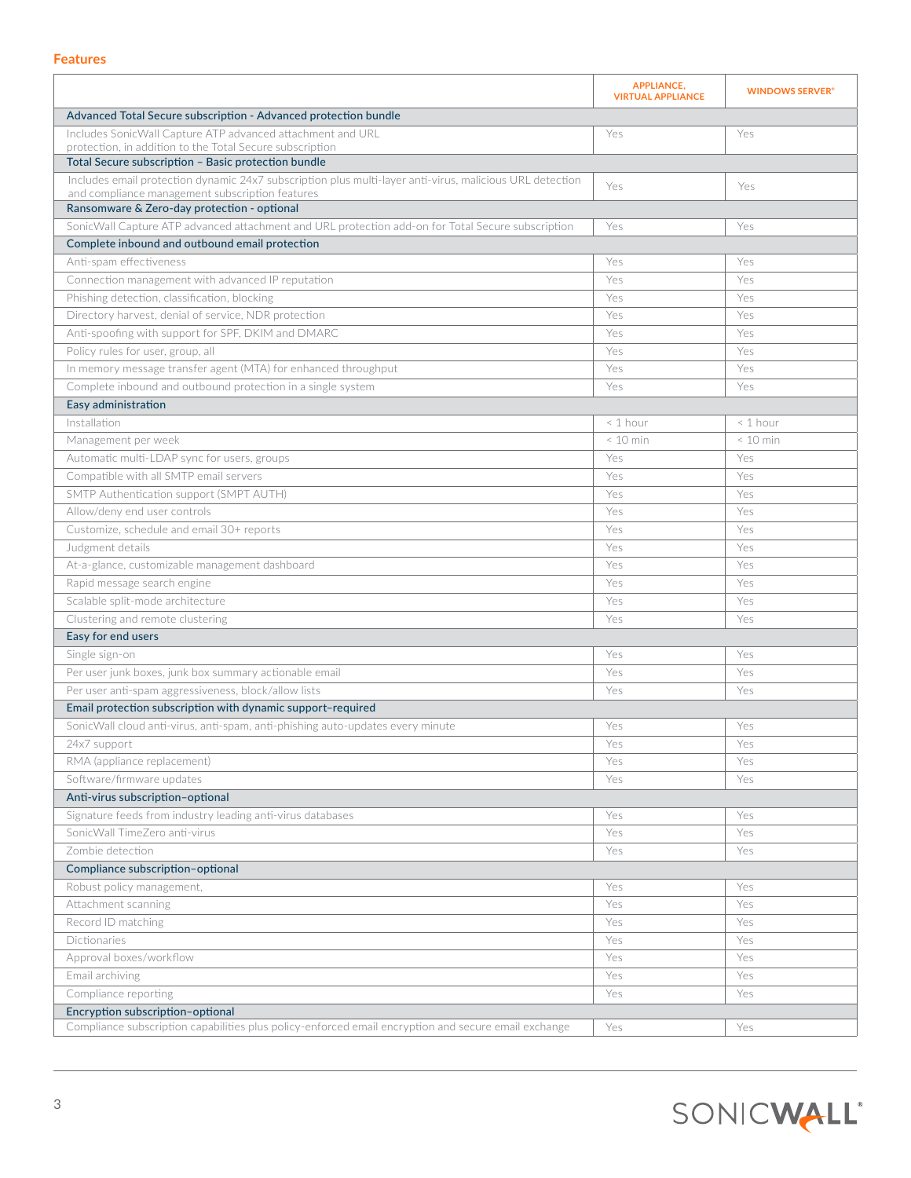#### **Features**

|                                                                                                                                          | <b>APPLIANCE,</b><br><b>VIRTUAL APPLIANCE</b> | <b>WINDOWS SERVER®</b> |  |  |
|------------------------------------------------------------------------------------------------------------------------------------------|-----------------------------------------------|------------------------|--|--|
| Advanced Total Secure subscription - Advanced protection bundle                                                                          |                                               |                        |  |  |
| Includes SonicWall Capture ATP advanced attachment and URL                                                                               | Yes                                           | Yes                    |  |  |
| protection, in addition to the Total Secure subscription<br>Total Secure subscription - Basic protection bundle                          |                                               |                        |  |  |
| Includes email protection dynamic 24x7 subscription plus multi-layer anti-virus, malicious URL detection                                 |                                               |                        |  |  |
| and compliance management subscription features                                                                                          | Yes                                           | Yes                    |  |  |
| Ransomware & Zero-day protection - optional                                                                                              |                                               |                        |  |  |
| SonicWall Capture ATP advanced attachment and URL protection add-on for Total Secure subscription                                        | Yes                                           | Yes                    |  |  |
| Complete inbound and outbound email protection                                                                                           |                                               |                        |  |  |
| Anti-spam effectiveness                                                                                                                  | Yes                                           | Yes                    |  |  |
| Connection management with advanced IP reputation                                                                                        | Yes                                           | Yes                    |  |  |
| Phishing detection, classification, blocking                                                                                             | Yes                                           | Yes                    |  |  |
| Directory harvest, denial of service, NDR protection                                                                                     | Yes                                           | Yes                    |  |  |
| Anti-spoofing with support for SPF, DKIM and DMARC                                                                                       | Yes                                           | Yes                    |  |  |
| Policy rules for user, group, all                                                                                                        | Yes                                           | Yes                    |  |  |
| In memory message transfer agent (MTA) for enhanced throughput                                                                           | Yes                                           | Yes                    |  |  |
| Complete inbound and outbound protection in a single system                                                                              | Yes                                           | Yes                    |  |  |
| Easy administration                                                                                                                      |                                               |                        |  |  |
| Installation                                                                                                                             | $< 1$ hour                                    | $< 1$ hour             |  |  |
| Management per week                                                                                                                      | $< 10$ min                                    | $< 10$ min             |  |  |
| Automatic multi-LDAP sync for users, groups                                                                                              | Yes                                           | Yes                    |  |  |
| Compatible with all SMTP email servers                                                                                                   | Yes                                           | Yes                    |  |  |
| SMTP Authentication support (SMPT AUTH)                                                                                                  | Yes                                           | Yes                    |  |  |
| Allow/deny end user controls                                                                                                             | Yes                                           | Yes                    |  |  |
| Customize, schedule and email 30+ reports                                                                                                | Yes                                           | Yes                    |  |  |
| Judgment details                                                                                                                         | Yes                                           | Yes                    |  |  |
| At-a-glance, customizable management dashboard                                                                                           | Yes                                           | Yes                    |  |  |
| Rapid message search engine                                                                                                              | Yes                                           | Yes                    |  |  |
| Scalable split-mode architecture                                                                                                         | Yes                                           | Yes                    |  |  |
| Clustering and remote clustering                                                                                                         | Yes                                           | Yes                    |  |  |
| Easy for end users                                                                                                                       |                                               |                        |  |  |
| Single sign-on                                                                                                                           | Yes                                           | Yes                    |  |  |
| Per user junk boxes, junk box summary actionable email                                                                                   | Yes                                           | Yes                    |  |  |
| Per user anti-spam aggressiveness, block/allow lists                                                                                     | Yes                                           | Yes                    |  |  |
| Email protection subscription with dynamic support-required                                                                              |                                               |                        |  |  |
| SonicWall cloud anti-virus, anti-spam, anti-phishing auto-updates every minute                                                           | Yes                                           | Yes                    |  |  |
| 24x/support                                                                                                                              | Yes                                           | Yes                    |  |  |
| RMA (appliance replacement)                                                                                                              | Yes                                           | Yes                    |  |  |
| Software/firmware updates                                                                                                                | Yes                                           | Yes                    |  |  |
| Anti-virus subscription-optional                                                                                                         |                                               |                        |  |  |
| Signature feeds from industry leading anti-virus databases                                                                               | Yes                                           | Yes                    |  |  |
| SonicWall TimeZero anti-virus                                                                                                            | Yes                                           | Yes                    |  |  |
| Zombie detection                                                                                                                         | Yes                                           | Yes                    |  |  |
| Compliance subscription-optional                                                                                                         |                                               |                        |  |  |
| Robust policy management,                                                                                                                | Yes                                           | Yes                    |  |  |
| Attachment scanning                                                                                                                      | Yes                                           | Yes                    |  |  |
| Record ID matching                                                                                                                       | Yes                                           | Yes                    |  |  |
| Dictionaries                                                                                                                             | Yes                                           | Yes                    |  |  |
| Approval boxes/workflow                                                                                                                  | Yes                                           | Yes                    |  |  |
| Email archiving                                                                                                                          | Yes                                           | Yes                    |  |  |
| Compliance reporting                                                                                                                     | Yes                                           | Yes                    |  |  |
| Encryption subscription-optional<br>Compliance subscription capabilities plus policy-enforced email encryption and secure email exchange | Yes                                           | Yes                    |  |  |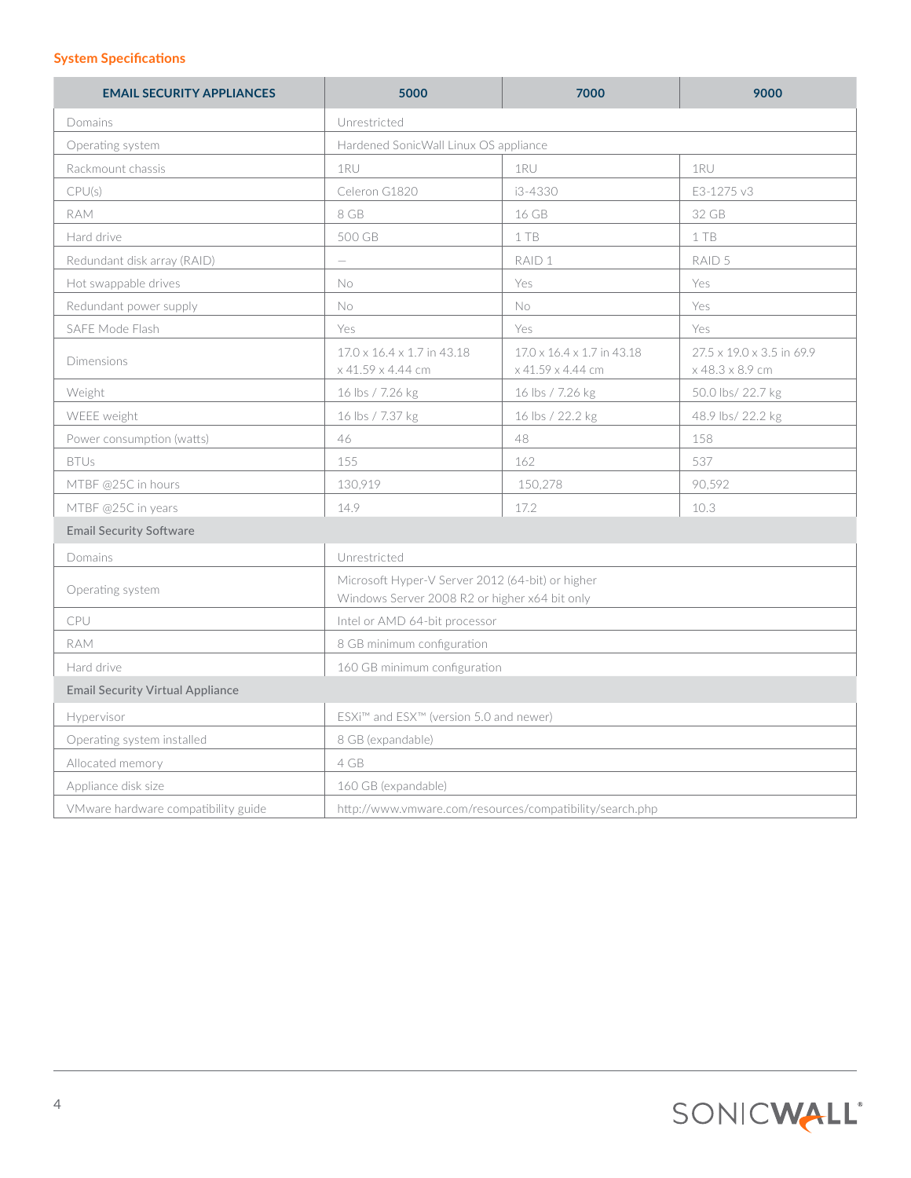## **System Specifications**

| <b>EMAIL SECURITY APPLIANCES</b>        | 5000                                                                                              | 7000                                            | 9000                                         |
|-----------------------------------------|---------------------------------------------------------------------------------------------------|-------------------------------------------------|----------------------------------------------|
| Domains                                 | Unrestricted                                                                                      |                                                 |                                              |
| Operating system                        | Hardened SonicWall Linux OS appliance                                                             |                                                 |                                              |
| Rackmount chassis                       | 1RU                                                                                               | 1RU                                             | 1RU                                          |
| CPU(s)                                  | Celeron G1820                                                                                     | i3-4330                                         | E3-1275 v3                                   |
| <b>RAM</b>                              | 8 GB                                                                                              | 16 GB                                           | 32 GB                                        |
| Hard drive                              | 500 GB                                                                                            | 1 TB                                            | 1 TB                                         |
| Redundant disk array (RAID)             | $\overline{\phantom{0}}$                                                                          | RAID 1                                          | RAID 5                                       |
| Hot swappable drives                    | No                                                                                                | Yes                                             | Yes                                          |
| Redundant power supply                  | No                                                                                                | No                                              | Yes                                          |
| SAFE Mode Flash                         | Yes                                                                                               | Yes                                             | Yes                                          |
| Dimensions                              | 17.0 x 16.4 x 1.7 in 43.18<br>x 41.59 x 4.44 cm                                                   | 17.0 x 16.4 x 1.7 in 43.18<br>x 41.59 x 4.44 cm | 27.5 x 19.0 x 3.5 in 69.9<br>x 48.3 x 8.9 cm |
| Weight                                  | 16 lbs / 7.26 kg                                                                                  | 16 lbs / 7.26 kg                                | 50.0 lbs/ 22.7 kg                            |
| WEEE weight                             | 16 lbs / 7.37 kg                                                                                  | 16 lbs / 22.2 kg                                | 48.9 lbs/ 22.2 kg                            |
| Power consumption (watts)               | 46                                                                                                | 48                                              | 158                                          |
| <b>BTUs</b>                             | 155                                                                                               | 162                                             | 537                                          |
| MTBF @25C in hours                      | 130,919                                                                                           | 150,278                                         | 90,592                                       |
| MTBF @25C in years                      | 14.9                                                                                              | 17.2                                            | 10.3                                         |
| <b>Email Security Software</b>          |                                                                                                   |                                                 |                                              |
| Domains                                 | Unrestricted                                                                                      |                                                 |                                              |
| Operating system                        | Microsoft Hyper-V Server 2012 (64-bit) or higher<br>Windows Server 2008 R2 or higher x64 bit only |                                                 |                                              |
| CPU                                     | Intel or AMD 64-bit processor                                                                     |                                                 |                                              |
| <b>RAM</b>                              | 8 GB minimum configuration                                                                        |                                                 |                                              |
| Hard drive                              | 160 GB minimum configuration                                                                      |                                                 |                                              |
| <b>Email Security Virtual Appliance</b> |                                                                                                   |                                                 |                                              |
| Hypervisor                              | ESXi™ and ESX™ (version 5.0 and newer)                                                            |                                                 |                                              |
| Operating system installed              | 8 GB (expandable)                                                                                 |                                                 |                                              |
| Allocated memory                        | 4 GB                                                                                              |                                                 |                                              |
| Appliance disk size                     | 160 GB (expandable)                                                                               |                                                 |                                              |
| VMware hardware compatibility guide     | http://www.vmware.com/resources/compatibility/search.php                                          |                                                 |                                              |